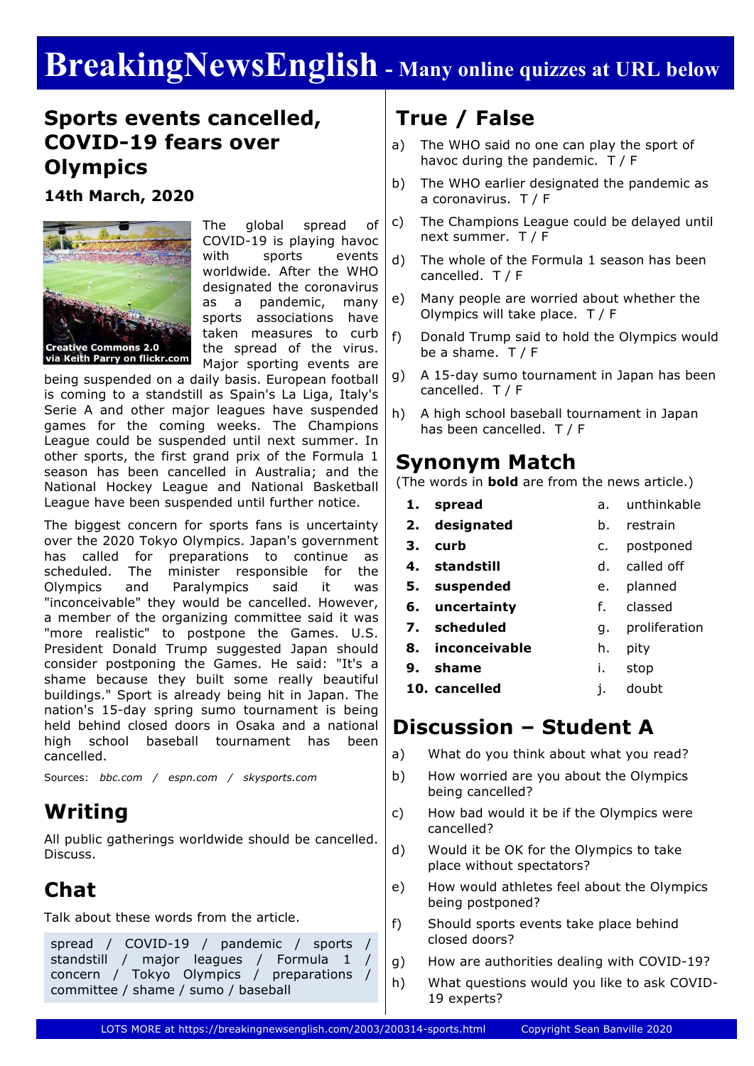# **BreakingNewsEnglish - Many online quizzes at URL below**

### **Sports events cancelled, COVID-19 fears over Olympics**

**14th March, 2020**



The global spread of COVID-19 is playing havoc with sports events worldwide. After the WHO designated the coronavirus as a pandemic, many sports associations have taken measures to curb the spread of the virus. Major sporting events are

being suspended on a daily basis. European football is coming to a standstill as Spain's La Liga, Italy's Serie A and other major leagues have suspended games for the coming weeks. The Champions League could be suspended until next summer. In other sports, the first grand prix of the Formula 1 season has been cancelled in Australia; and the National Hockey League and National Basketball League have been suspended until further notice.

The biggest concern for sports fans is uncertainty over the 2020 Tokyo Olympics. Japan's government has called for preparations to continue as scheduled. The minister responsible for the Olympics and Paralympics said it was "inconceivable" they would be cancelled. However, a member of the organizing committee said it was "more realistic" to postpone the Games. U.S. President Donald Trump suggested Japan should consider postponing the Games. He said: "It's a shame because they built some really beautiful buildings." Sport is already being hit in Japan. The nation's 15-day spring sumo tournament is being held behind closed doors in Osaka and a national high school baseball tournament has been cancelled.

Sources: *bbc.com / espn.com / skysports.com*

# **Writing**

All public gatherings worldwide should be cancelled. Discuss.

# **Chat**

Talk about these words from the article.

spread / COVID-19 / pandemic / sports / standstill / major leagues / Formula 1 / concern / Tokyo Olympics / preparations / committee / shame / sumo / baseball

# **True / False**

- a) The WHO said no one can play the sport of havoc during the pandemic. T / F
- b) The WHO earlier designated the pandemic as a coronavirus. T / F
- c) The Champions League could be delayed until next summer. T / F
- d) The whole of the Formula 1 season has been cancelled. T / F
- e) Many people are worried about whether the Olympics will take place. T / F
- f) Donald Trump said to hold the Olympics would be a shame.  $T / F$
- g) A 15-day sumo tournament in Japan has been cancelled. T / F
- h) A high school baseball tournament in Japan has been cancelled. T / F

#### **Synonym Match**

(The words in **bold** are from the news article.)

- **1. spread 2. designated**
- a. unthinkable b. restrain

h. pity

g. proliferation

- **3. curb**
- c. postponed
- **4. standstill** d. called off
- **5. suspended** e. planned
- **6. uncertainty** f. classed
- **7. scheduled**
- **8. inconceivable**
- **9. shame** i. stop
- **10. cancelled** j. doubt

## **Discussion – Student A**

- a) What do you think about what you read?
- b) How worried are you about the Olympics being cancelled?
- c) How bad would it be if the Olympics were cancelled?
- d) Would it be OK for the Olympics to take place without spectators?
- e) How would athletes feel about the Olympics being postponed?
- f) Should sports events take place behind closed doors?
- g) How are authorities dealing with COVID-19?
- h) What questions would you like to ask COVID-19 experts?